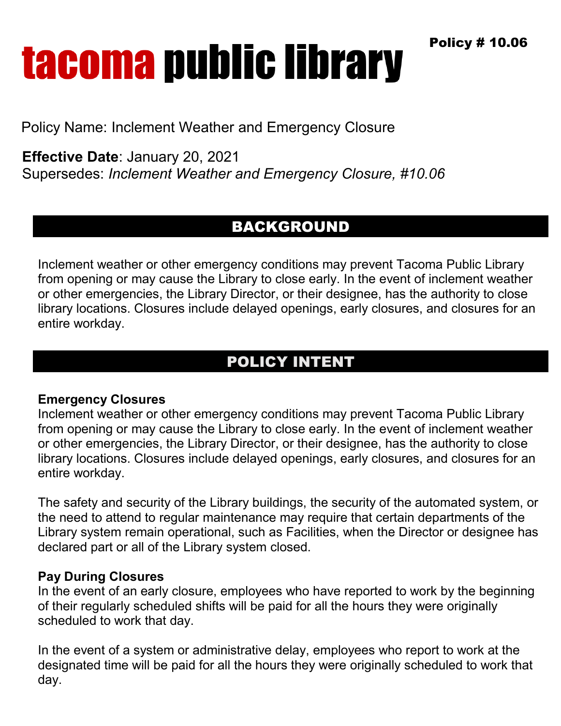Policy # 10.06

# **tacoma public library**

Policy Name: Inclement Weather and Emergency Closure

**Effective Date**: January 20, 2021

Supersedes: *Inclement Weather and Emergency Closure, #10.06*

### BACKGROUND

Inclement weather or other emergency conditions may prevent Tacoma Public Library from opening or may cause the Library to close early. In the event of inclement weather or other emergencies, the Library Director, or their designee, has the authority to close library locations. Closures include delayed openings, early closures, and closures for an entire workday.

## POLICY INTENT

#### **Emergency Closures**

Inclement weather or other emergency conditions may prevent Tacoma Public Library from opening or may cause the Library to close early. In the event of inclement weather or other emergencies, the Library Director, or their designee, has the authority to close library locations. Closures include delayed openings, early closures, and closures for an entire workday.

The safety and security of the Library buildings, the security of the automated system, or the need to attend to regular maintenance may require that certain departments of the Library system remain operational, such as Facilities, when the Director or designee has declared part or all of the Library system closed.

#### **Pay During Closures**

In the event of an early closure, employees who have reported to work by the beginning of their regularly scheduled shifts will be paid for all the hours they were originally scheduled to work that day.

In the event of a system or administrative delay, employees who report to work at the designated time will be paid for all the hours they were originally scheduled to work that day.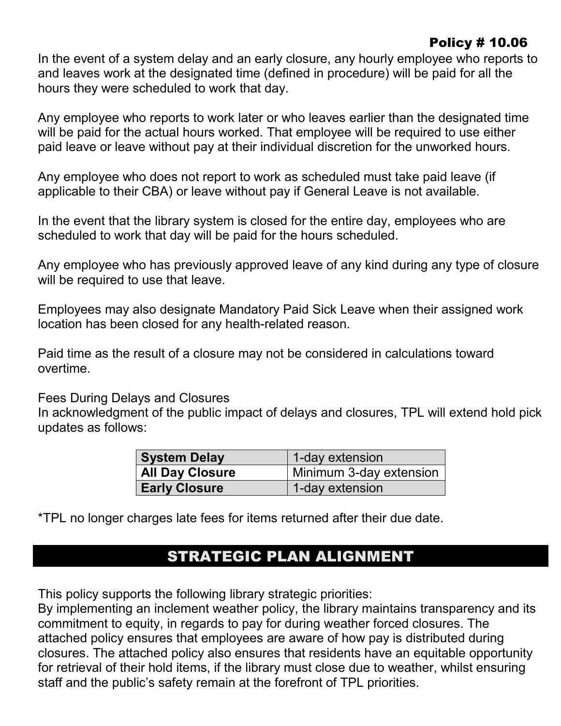#### Policy # 10.06

In the event of a system delay and an early closure, any hourly employee who reports to and leaves work at the designated time (defined in procedure) will be paid for all the hours they were scheduled to work that day.

Any employee who reports to work later or who leaves earlier than the designated time will be paid for the actual hours worked. That employee will be required to use either paid leave or leave without pay at their individual discretion for the unworked hours.

Any employee who does not report to work as scheduled must take paid leave (if applicable to their CBA) or leave without pay if General Leave is not available.

In the event that the library system is closed for the entire day, employees who are scheduled to work that day will be paid for the hours scheduled.

Any employee who has previously approved leave of any kind during any type of closure will be required to use that leave.

Employees may also designate Mandatory Paid Sick Leave when their assigned work location has been closed for any health-related reason.

Paid time as the result of a closure may not be considered in calculations toward overtime.

Fees During Delays and Closures

In acknowledgment of the public impact of delays and closures, TPL will extend hold pick updates as follows:

| <b>System Delay</b>  | 1-day extension<br>Minimum 3-day extension |  |
|----------------------|--------------------------------------------|--|
| All Day Closure      |                                            |  |
| <b>Early Closure</b> | 1-day extension                            |  |

\*TPL no longer charges late fees for items returned after their due date.

### STRATEGIC PLAN ALIGNMENT

This policy supports the following library strategic priorities:

By implementing an inclement weather policy, the library maintains transparency and its commitment to equity, in regards to pay for during weather forced closures. The attached policy ensures that employees are aware of how pay is distributed during closures. The attached policy also ensures that residents have an equitable opportunity for retrieval of their hold items, if the library must close due to weather, whilst ensuring staff and the public's safety remain at the forefront of TPL priorities.